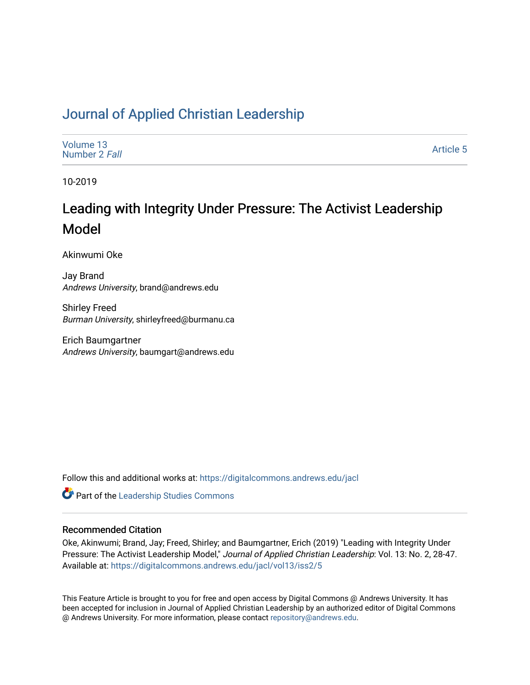# [Journal of Applied Christian Leadership](https://digitalcommons.andrews.edu/jacl)

| Volume 13<br>Number 2 Fall | Article 5 |
|----------------------------|-----------|
|----------------------------|-----------|

10-2019

# Leading with Integrity Under Pressure: The Activist Leadership Model

Akinwumi Oke

Jay Brand Andrews University, brand@andrews.edu

Shirley Freed Burman University, shirleyfreed@burmanu.ca

Erich Baumgartner Andrews University, baumgart@andrews.edu

Follow this and additional works at: [https://digitalcommons.andrews.edu/jacl](https://digitalcommons.andrews.edu/jacl?utm_source=digitalcommons.andrews.edu%2Fjacl%2Fvol13%2Fiss2%2F5&utm_medium=PDF&utm_campaign=PDFCoverPages) 

Part of the [Leadership Studies Commons](http://network.bepress.com/hgg/discipline/1250?utm_source=digitalcommons.andrews.edu%2Fjacl%2Fvol13%2Fiss2%2F5&utm_medium=PDF&utm_campaign=PDFCoverPages) 

#### Recommended Citation

Oke, Akinwumi; Brand, Jay; Freed, Shirley; and Baumgartner, Erich (2019) "Leading with Integrity Under Pressure: The Activist Leadership Model," Journal of Applied Christian Leadership: Vol. 13: No. 2, 28-47. Available at: [https://digitalcommons.andrews.edu/jacl/vol13/iss2/5](https://digitalcommons.andrews.edu/jacl/vol13/iss2/5?utm_source=digitalcommons.andrews.edu%2Fjacl%2Fvol13%2Fiss2%2F5&utm_medium=PDF&utm_campaign=PDFCoverPages)

This Feature Article is brought to you for free and open access by Digital Commons @ Andrews University. It has been accepted for inclusion in Journal of Applied Christian Leadership by an authorized editor of Digital Commons @ Andrews University. For more information, please contact [repository@andrews.edu](mailto:repository@andrews.edu).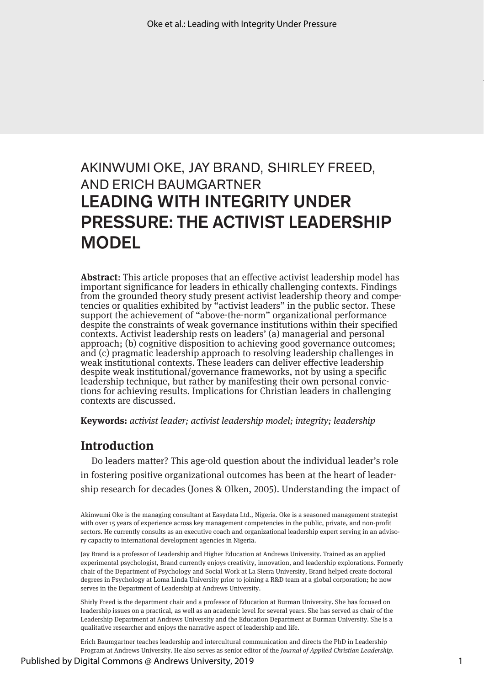# AKINWUMI OKE, JAY BRAND, SHIRLEY FREED, AND ERICH BAUMGARTNER LEADING WITH INTEGRITY UNDER PRESSURE: THE ACTIVIST LEADERSHIP MODEL

**Abstract**: This article proposes that an effective activist leadership model has important significance for leaders in ethically challenging contexts. Findings from the grounded theory study present activist leadership theory and compe- tencies or qualities exhibited by "activist leaders" in the public sector. These support the achievement of "above-the-norm" organizational performance despite the constraints of weak governance institutions within their specified contexts. Activist leadership rests on leaders' (a) managerial and personal approach; (b) cognitive disposition to achieving good governance outcomes; and (c) pragmatic leadership approach to resolving leadership challenges in weak institutional contexts. These leaders can deliver effective leadership despite weak institutional/governance frameworks, not by using a specific leadership technique, but rather by manifesting their own personal convictions for achieving results. Implications for Christian leaders in challenging contexts are discussed.

**Keywords:** *activist leader; activist leadership model; integrity; leadership*

## **Introduction**

Do leaders matter? This age-old question about the individual leader's role in fostering positive organizational outcomes has been at the heart of leadership research for decades (Jones & Olken, 2005). Understanding the impact of

Akinwumi Oke is the managing consultant at Easydata Ltd., Nigeria. Oke is a seasoned management strategist with over 15 years of experience across key management competencies in the public, private, and non-profit sectors. He currently consults as an executive coach and organizational leadership expert serving in an advisory capacity to international development agencies in Nigeria.

Jay Brand is a professor of Leadership and Higher Education at Andrews University. Trained as an applied experimental psychologist, Brand currently enjoys creativity, innovation, and leadership explorations. Formerly chair of the Department of Psychology and Social Work at La Sierra University, Brand helped create doctoral degrees in Psychology at Loma Linda University prior to joining a R&D team at a global corporation; he now serves in the Department of Leadership at Andrews University.

Shirly Freed is the department chair and a professor of Education at Burman University. She has focused on leadership issues on a practical, as well as an academic level for several years. She has served as chair of the Leadership Department at Andrews University and the Education Department at Burman University. She is a qualitative researcher and enjoys the narrative aspect of leadership and life.

Erich Baumgartner teaches leadership and intercultural communication and directs the PhD in Leadership Program at Andrews University. He also serves as senior editor of the *Journal of Applied Christian Leadership.*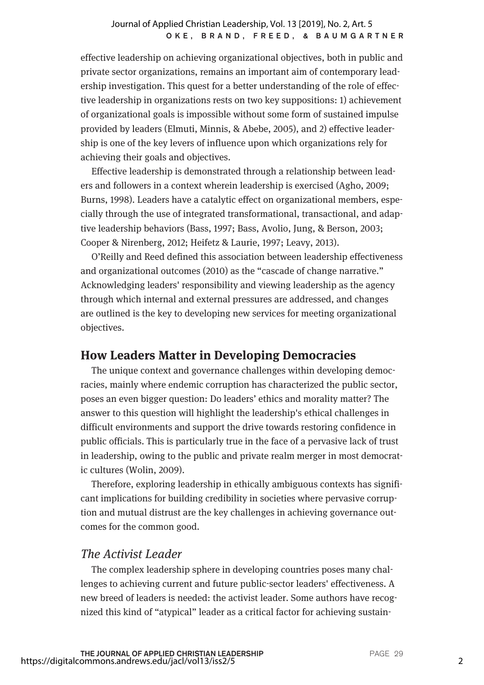#### OKE, BRAND, FREED, & BAUMGARTNER Journal of Applied Christian Leadership, Vol. 13 [2019], No. 2, Art. 5

effective leadership on achieving organizational objectives, both in public and private sector organizations, remains an important aim of contemporary leadership investigation. This quest for a better understanding of the role of effective leadership in organizations rests on two key suppositions: 1) achievement of organizational goals is impossible without some form of sustained impulse provided by leaders (Elmuti, Minnis, & Abebe, 2005), and 2) effective leadership is one of the key levers of influence upon which organizations rely for achieving their goals and objectives.

Effective leadership is demonstrated through a relationship between leaders and followers in a context wherein leadership is exercised (Agho, 2009; Burns, 1998). Leaders have a catalytic effect on organizational members, especially through the use of integrated transformational, transactional, and adaptive leadership behaviors (Bass, 1997; Bass, Avolio, Jung, & Berson, 2003; Cooper & Nirenberg, 2012; Heifetz & Laurie, 1997; Leavy, 2013).

O'Reilly and Reed defined this association between leadership effectiveness and organizational outcomes (2010) as the "cascade of change narrative." Acknowledging leaders' responsibility and viewing leadership as the agency through which internal and external pressures are addressed, and changes are outlined is the key to developing new services for meeting organizational objectives.

## **How Leaders Matter in Developing Democracies**

The unique context and governance challenges within developing democracies, mainly where endemic corruption has characterized the public sector, poses an even bigger question: Do leaders' ethics and morality matter? The answer to this question will highlight the leadership's ethical challenges in difficult environments and support the drive towards restoring confidence in public officials. This is particularly true in the face of a pervasive lack of trust in leadership, owing to the public and private realm merger in most democratic cultures (Wolin, 2009).

Therefore, exploring leadership in ethically ambiguous contexts has significant implications for building credibility in societies where pervasive corruption and mutual distrust are the key challenges in achieving governance outcomes for the common good.

## *The Activist Leader*

The complex leadership sphere in developing countries poses many challenges to achieving current and future public-sector leaders' effectiveness. A new breed of leaders is needed: the activist leader. Some authors have recognized this kind of "atypical" leader as a critical factor for achieving sustain-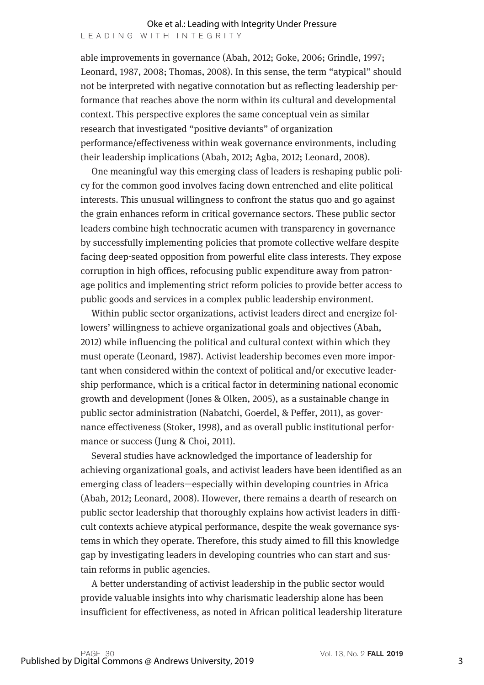able improvements in governance (Abah, 2012; Goke, 2006; Grindle, 1997; Leonard, 1987, 2008; Thomas, 2008). In this sense, the term "atypical" should not be interpreted with negative connotation but as reflecting leadership performance that reaches above the norm within its cultural and developmental context. This perspective explores the same conceptual vein as similar research that investigated "positive deviants" of organization performance/effectiveness within weak governance environments, including their leadership implications (Abah, 2012; Agba, 2012; Leonard, 2008).

One meaningful way this emerging class of leaders is reshaping public policy for the common good involves facing down entrenched and elite political interests. This unusual willingness to confront the status quo and go against the grain enhances reform in critical governance sectors. These public sector leaders combine high technocratic acumen with transparency in governance by successfully implementing policies that promote collective welfare despite facing deep-seated opposition from powerful elite class interests. They expose corruption in high offices, refocusing public expenditure away from patronage politics and implementing strict reform policies to provide better access to public goods and services in a complex public leadership environment.

Within public sector organizations, activist leaders direct and energize followers' willingness to achieve organizational goals and objectives (Abah, 2012) while influencing the political and cultural context within which they must operate (Leonard, 1987). Activist leadership becomes even more important when considered within the context of political and/or executive leadership performance, which is a critical factor in determining national economic growth and development (Jones & Olken, 2005), as a sustainable change in public sector administration (Nabatchi, Goerdel, & Peffer, 2011), as governance effectiveness (Stoker, 1998), and as overall public institutional performance or success (Jung & Choi, 2011).

Several studies have acknowledged the importance of leadership for achieving organizational goals, and activist leaders have been identified as an emerging class of leaders—especially within developing countries in Africa (Abah, 2012; Leonard, 2008). However, there remains a dearth of research on public sector leadership that thoroughly explains how activist leaders in difficult contexts achieve atypical performance, despite the weak governance systems in which they operate. Therefore, this study aimed to fill this knowledge gap by investigating leaders in developing countries who can start and sustain reforms in public agencies.

A better understanding of activist leadership in the public sector would provide valuable insights into why charismatic leadership alone has been insufficient for effectiveness, as noted in African political leadership literature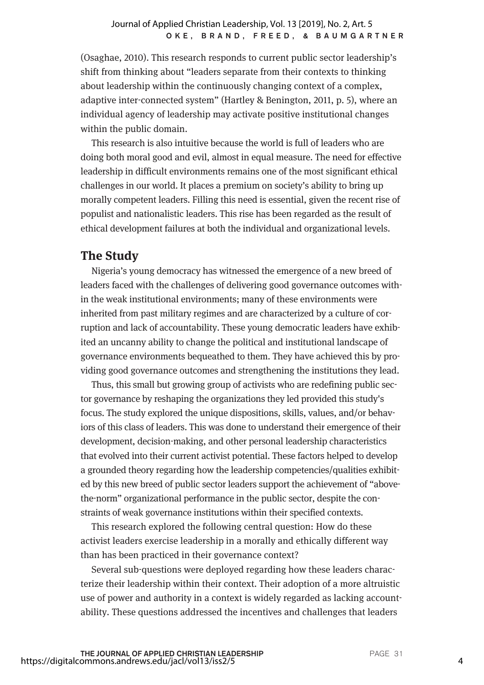(Osaghae, 2010). This research responds to current public sector leadership's shift from thinking about "leaders separate from their contexts to thinking about leadership within the continuously changing context of a complex, adaptive inter-connected system" (Hartley & Benington, 2011, p. 5), where an individual agency of leadership may activate positive institutional changes within the public domain.

This research is also intuitive because the world is full of leaders who are doing both moral good and evil, almost in equal measure. The need for effective leadership in difficult environments remains one of the most significant ethical challenges in our world. It places a premium on society's ability to bring up morally competent leaders. Filling this need is essential, given the recent rise of populist and nationalistic leaders. This rise has been regarded as the result of ethical development failures at both the individual and organizational levels.

## **The Study**

Nigeria's young democracy has witnessed the emergence of a new breed of leaders faced with the challenges of delivering good governance outcomes within the weak institutional environments; many of these environments were inherited from past military regimes and are characterized by a culture of corruption and lack of accountability. These young democratic leaders have exhibited an uncanny ability to change the political and institutional landscape of governance environments bequeathed to them. They have achieved this by providing good governance outcomes and strengthening the institutions they lead.

Thus, this small but growing group of activists who are redefining public sector governance by reshaping the organizations they led provided this study's focus. The study explored the unique dispositions, skills, values, and/or behaviors of this class of leaders. This was done to understand their emergence of their development, decision-making, and other personal leadership characteristics that evolved into their current activist potential. These factors helped to develop a grounded theory regarding how the leadership competencies/qualities exhibited by this new breed of public sector leaders support the achievement of "abovethe-norm" organizational performance in the public sector, despite the constraints of weak governance institutions within their specified contexts.

This research explored the following central question: How do these activist leaders exercise leadership in a morally and ethically different way than has been practiced in their governance context?

Several sub-questions were deployed regarding how these leaders characterize their leadership within their context. Their adoption of a more altruistic use of power and authority in a context is widely regarded as lacking accountability. These questions addressed the incentives and challenges that leaders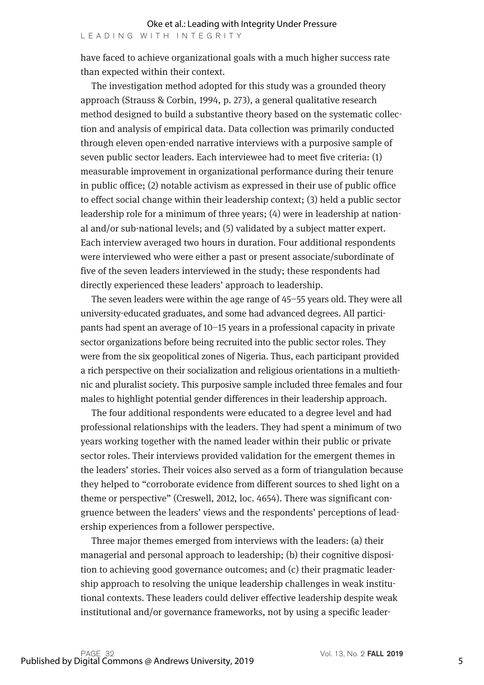have faced to achieve organizational goals with a much higher success rate than expected within their context.

The investigation method adopted for this study was a grounded theory approach (Strauss & Corbin, 1994, p. 273), a general qualitative research method designed to build a substantive theory based on the systematic collection and analysis of empirical data. Data collection was primarily conducted through eleven open-ended narrative interviews with a purposive sample of seven public sector leaders. Each interviewee had to meet five criteria: (1) measurable improvement in organizational performance during their tenure in public office; (2) notable activism as expressed in their use of public office to effect social change within their leadership context; (3) held a public sector leadership role for a minimum of three years; (4) were in leadership at national and/or sub-national levels; and (5) validated by a subject matter expert. Each interview averaged two hours in duration. Four additional respondents were interviewed who were either a past or present associate/subordinate of five of the seven leaders interviewed in the study; these respondents had directly experienced these leaders' approach to leadership.

The seven leaders were within the age range of 45–55 years old. They were all university-educated graduates, and some had advanced degrees. All participants had spent an average of 10–15 years in a professional capacity in private sector organizations before being recruited into the public sector roles. They were from the six geopolitical zones of Nigeria. Thus, each participant provided a rich perspective on their socialization and religious orientations in a multiethnic and pluralist society. This purposive sample included three females and four males to highlight potential gender differences in their leadership approach.

The four additional respondents were educated to a degree level and had professional relationships with the leaders. They had spent a minimum of two years working together with the named leader within their public or private sector roles. Their interviews provided validation for the emergent themes in the leaders' stories. Their voices also served as a form of triangulation because they helped to "corroborate evidence from different sources to shed light on a theme or perspective" (Creswell, 2012, loc. 4654). There was significant congruence between the leaders' views and the respondents' perceptions of leadership experiences from a follower perspective.

Three major themes emerged from interviews with the leaders: (a) their managerial and personal approach to leadership; (b) their cognitive disposition to achieving good governance outcomes; and (c) their pragmatic leadership approach to resolving the unique leadership challenges in weak institutional contexts. These leaders could deliver effective leadership despite weak institutional and/or governance frameworks, not by using a specific leader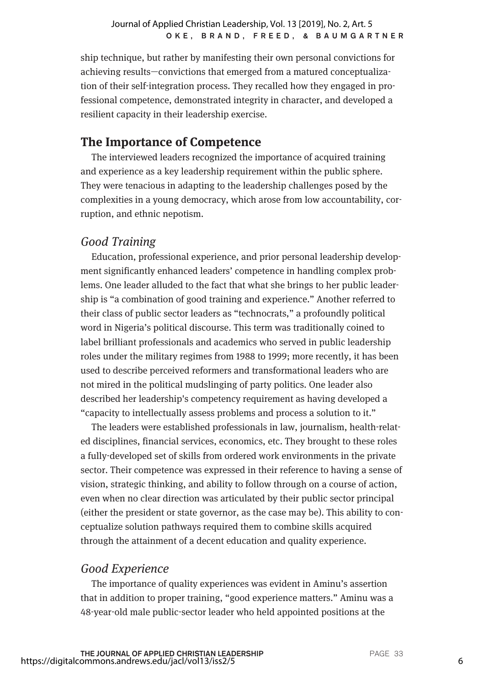ship technique, but rather by manifesting their own personal convictions for achieving results—convictions that emerged from a matured conceptualization of their self-integration process. They recalled how they engaged in professional competence, demonstrated integrity in character, and developed a resilient capacity in their leadership exercise.

## **The Importance of Competence**

The interviewed leaders recognized the importance of acquired training and experience as a key leadership requirement within the public sphere. They were tenacious in adapting to the leadership challenges posed by the complexities in a young democracy, which arose from low accountability, corruption, and ethnic nepotism.

## *Good Training*

Education, professional experience, and prior personal leadership development significantly enhanced leaders' competence in handling complex problems. One leader alluded to the fact that what she brings to her public leadership is "a combination of good training and experience." Another referred to their class of public sector leaders as "technocrats," a profoundly political word in Nigeria's political discourse. This term was traditionally coined to label brilliant professionals and academics who served in public leadership roles under the military regimes from 1988 to 1999; more recently, it has been used to describe perceived reformers and transformational leaders who are not mired in the political mudslinging of party politics. One leader also described her leadership's competency requirement as having developed a "capacity to intellectually assess problems and process a solution to it."

The leaders were established professionals in law, journalism, health-related disciplines, financial services, economics, etc. They brought to these roles a fully-developed set of skills from ordered work environments in the private sector. Their competence was expressed in their reference to having a sense of vision, strategic thinking, and ability to follow through on a course of action, even when no clear direction was articulated by their public sector principal (either the president or state governor, as the case may be). This ability to conceptualize solution pathways required them to combine skills acquired through the attainment of a decent education and quality experience.

## *Good Experience*

The importance of quality experiences was evident in Aminu's assertion that in addition to proper training, "good experience matters." Aminu was a 48-year-old male public-sector leader who held appointed positions at the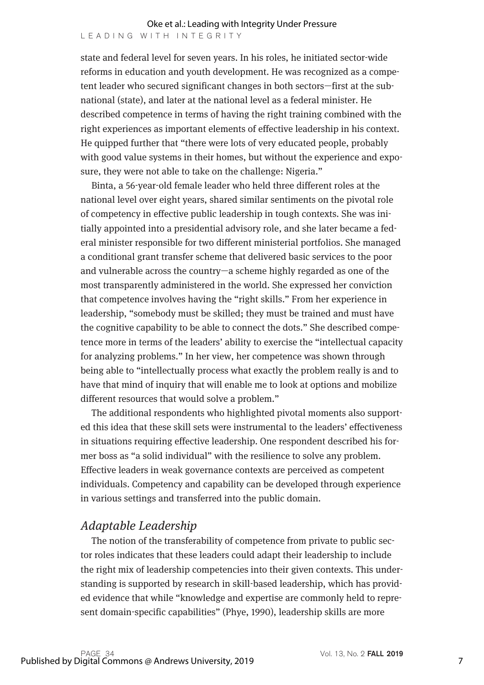state and federal level for seven years. In his roles, he initiated sector-wide reforms in education and youth development. He was recognized as a competent leader who secured significant changes in both sectors—first at the subnational (state), and later at the national level as a federal minister. He described competence in terms of having the right training combined with the right experiences as important elements of effective leadership in his context. He quipped further that "there were lots of very educated people, probably with good value systems in their homes, but without the experience and exposure, they were not able to take on the challenge: Nigeria."

Binta, a 56-year-old female leader who held three different roles at the national level over eight years, shared similar sentiments on the pivotal role of competency in effective public leadership in tough contexts. She was initially appointed into a presidential advisory role, and she later became a federal minister responsible for two different ministerial portfolios. She managed a conditional grant transfer scheme that delivered basic services to the poor and vulnerable across the country—a scheme highly regarded as one of the most transparently administered in the world. She expressed her conviction that competence involves having the "right skills." From her experience in leadership, "somebody must be skilled; they must be trained and must have the cognitive capability to be able to connect the dots." She described competence more in terms of the leaders' ability to exercise the "intellectual capacity for analyzing problems." In her view, her competence was shown through being able to "intellectually process what exactly the problem really is and to have that mind of inquiry that will enable me to look at options and mobilize different resources that would solve a problem."

The additional respondents who highlighted pivotal moments also supported this idea that these skill sets were instrumental to the leaders' effectiveness in situations requiring effective leadership. One respondent described his former boss as "a solid individual" with the resilience to solve any problem. Effective leaders in weak governance contexts are perceived as competent individuals. Competency and capability can be developed through experience in various settings and transferred into the public domain.

## *Adaptable Leadership*

The notion of the transferability of competence from private to public sector roles indicates that these leaders could adapt their leadership to include the right mix of leadership competencies into their given contexts. This understanding is supported by research in skill-based leadership, which has provided evidence that while "knowledge and expertise are commonly held to represent domain-specific capabilities" (Phye, 1990), leadership skills are more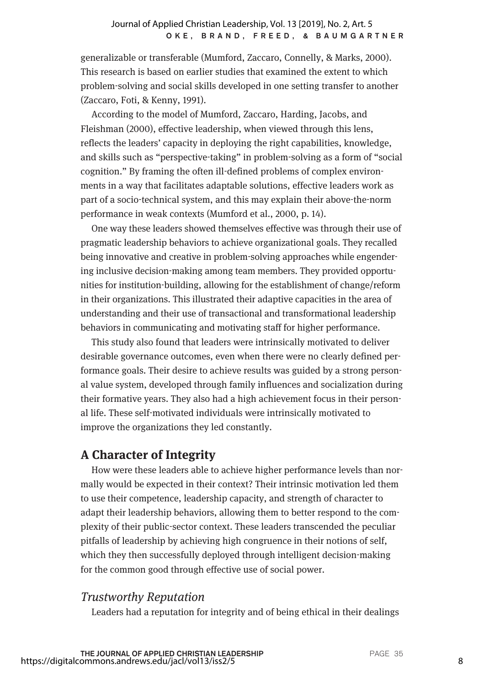generalizable or transferable (Mumford, Zaccaro, Connelly, & Marks, 2000). This research is based on earlier studies that examined the extent to which problem-solving and social skills developed in one setting transfer to another (Zaccaro, Foti, & Kenny, 1991).

According to the model of Mumford, Zaccaro, Harding, Jacobs, and Fleishman (2000), effective leadership, when viewed through this lens, reflects the leaders' capacity in deploying the right capabilities, knowledge, and skills such as "perspective-taking" in problem-solving as a form of "social cognition." By framing the often ill-defined problems of complex environments in a way that facilitates adaptable solutions, effective leaders work as part of a socio-technical system, and this may explain their above-the-norm performance in weak contexts (Mumford et al., 2000, p. 14).

One way these leaders showed themselves effective was through their use of pragmatic leadership behaviors to achieve organizational goals. They recalled being innovative and creative in problem-solving approaches while engendering inclusive decision-making among team members. They provided opportunities for institution-building, allowing for the establishment of change/reform in their organizations. This illustrated their adaptive capacities in the area of understanding and their use of transactional and transformational leadership behaviors in communicating and motivating staff for higher performance.

This study also found that leaders were intrinsically motivated to deliver desirable governance outcomes, even when there were no clearly defined performance goals. Their desire to achieve results was guided by a strong personal value system, developed through family influences and socialization during their formative years. They also had a high achievement focus in their personal life. These self-motivated individuals were intrinsically motivated to improve the organizations they led constantly.

## **A Character of Integrity**

How were these leaders able to achieve higher performance levels than normally would be expected in their context? Their intrinsic motivation led them to use their competence, leadership capacity, and strength of character to adapt their leadership behaviors, allowing them to better respond to the complexity of their public-sector context. These leaders transcended the peculiar pitfalls of leadership by achieving high congruence in their notions of self, which they then successfully deployed through intelligent decision-making for the common good through effective use of social power.

## *Trustworthy Reputation*

Leaders had a reputation for integrity and of being ethical in their dealings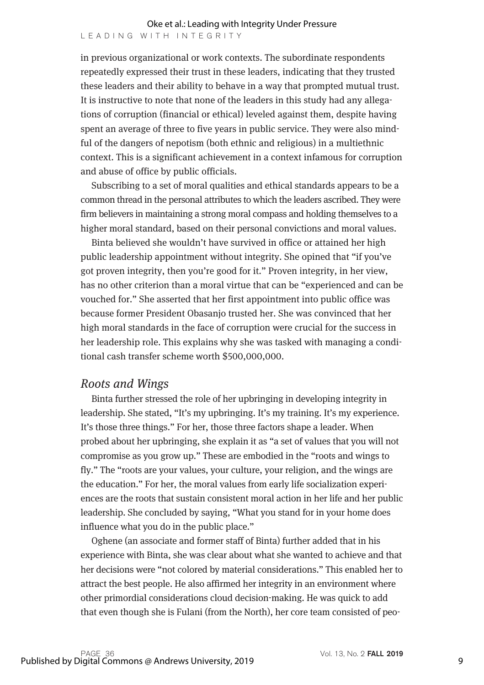in previous organizational or work contexts. The subordinate respondents repeatedly expressed their trust in these leaders, indicating that they trusted these leaders and their ability to behave in a way that prompted mutual trust. It is instructive to note that none of the leaders in this study had any allegations of corruption (financial or ethical) leveled against them, despite having spent an average of three to five years in public service. They were also mindful of the dangers of nepotism (both ethnic and religious) in a multiethnic context. This is a significant achievement in a context infamous for corruption and abuse of office by public officials.

Subscribing to a set of moral qualities and ethical standards appears to be a common thread in the personal attributes to which the leaders ascribed. They were firm believers in maintaining a strong moral compass and holding themselves to a higher moral standard, based on their personal convictions and moral values.

Binta believed she wouldn't have survived in office or attained her high public leadership appointment without integrity. She opined that "if you've got proven integrity, then you're good for it." Proven integrity, in her view, has no other criterion than a moral virtue that can be "experienced and can be vouched for." She asserted that her first appointment into public office was because former President Obasanjo trusted her. She was convinced that her high moral standards in the face of corruption were crucial for the success in her leadership role. This explains why she was tasked with managing a conditional cash transfer scheme worth \$500,000,000.

#### *Roots and Wings*

Binta further stressed the role of her upbringing in developing integrity in leadership. She stated, "It's my upbringing. It's my training. It's my experience. It's those three things." For her, those three factors shape a leader. When probed about her upbringing, she explain it as "a set of values that you will not compromise as you grow up." These are embodied in the "roots and wings to fly." The "roots are your values, your culture, your religion, and the wings are the education." For her, the moral values from early life socialization experiences are the roots that sustain consistent moral action in her life and her public leadership. She concluded by saying, "What you stand for in your home does influence what you do in the public place."

Oghene (an associate and former staff of Binta) further added that in his experience with Binta, she was clear about what she wanted to achieve and that her decisions were "not colored by material considerations." This enabled her to attract the best people. He also affirmed her integrity in an environment where other primordial considerations cloud decision-making. He was quick to add that even though she is Fulani (from the North), her core team consisted of peo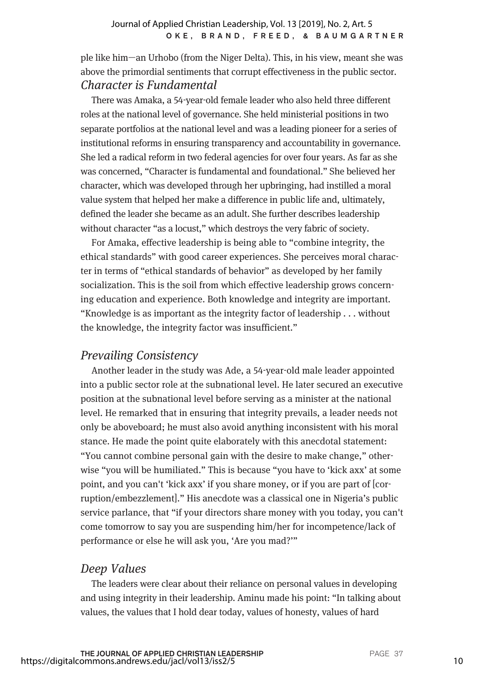ple like him—an Urhobo (from the Niger Delta). This, in his view, meant she was above the primordial sentiments that corrupt effectiveness in the public sector. *Character is Fundamental*

There was Amaka, a 54-year-old female leader who also held three different roles at the national level of governance. She held ministerial positions in two separate portfolios at the national level and was a leading pioneer for a series of institutional reforms in ensuring transparency and accountability in governance. She led a radical reform in two federal agencies for over four years. As far as she was concerned, "Character is fundamental and foundational." She believed her character, which was developed through her upbringing, had instilled a moral value system that helped her make a difference in public life and, ultimately, defined the leader she became as an adult. She further describes leadership without character "as a locust," which destroys the very fabric of society.

For Amaka, effective leadership is being able to "combine integrity, the ethical standards" with good career experiences. She perceives moral character in terms of "ethical standards of behavior" as developed by her family socialization. This is the soil from which effective leadership grows concerning education and experience. Both knowledge and integrity are important. "Knowledge is as important as the integrity factor of leadership . . . without the knowledge, the integrity factor was insufficient."

## *Prevailing Consistency*

Another leader in the study was Ade, a 54-year-old male leader appointed into a public sector role at the subnational level. He later secured an executive position at the subnational level before serving as a minister at the national level. He remarked that in ensuring that integrity prevails, a leader needs not only be aboveboard; he must also avoid anything inconsistent with his moral stance. He made the point quite elaborately with this anecdotal statement: "You cannot combine personal gain with the desire to make change," otherwise "you will be humiliated." This is because "you have to 'kick axx' at some point, and you can't 'kick axx' if you share money, or if you are part of [corruption/embezzlement]." His anecdote was a classical one in Nigeria's public service parlance, that "if your directors share money with you today, you can't come tomorrow to say you are suspending him/her for incompetence/lack of performance or else he will ask you, 'Are you mad?'"

## *Deep Values*

The leaders were clear about their reliance on personal values in developing and using integrity in their leadership. Aminu made his point: "In talking about values, the values that I hold dear today, values of honesty, values of hard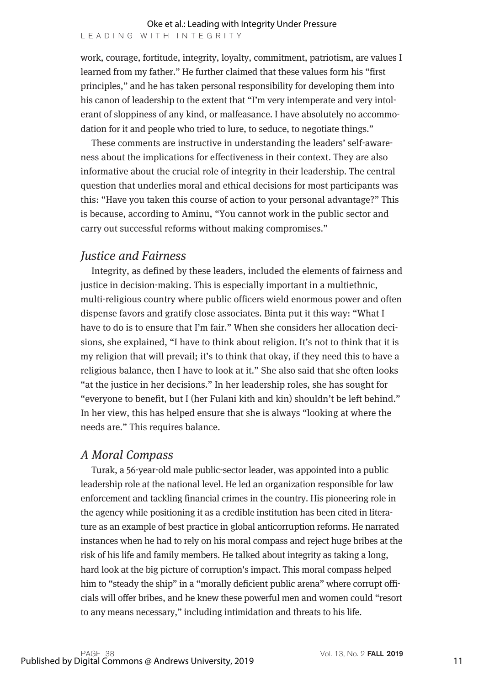work, courage, fortitude, integrity, loyalty, commitment, patriotism, are values I learned from my father." He further claimed that these values form his "first principles," and he has taken personal responsibility for developing them into his canon of leadership to the extent that "I'm very intemperate and very intolerant of sloppiness of any kind, or malfeasance. I have absolutely no accommodation for it and people who tried to lure, to seduce, to negotiate things."

These comments are instructive in understanding the leaders' self-awareness about the implications for effectiveness in their context. They are also informative about the crucial role of integrity in their leadership. The central question that underlies moral and ethical decisions for most participants was this: "Have you taken this course of action to your personal advantage?" This is because, according to Aminu, "You cannot work in the public sector and carry out successful reforms without making compromises."

## *Justice and Fairness*

Integrity, as defined by these leaders, included the elements of fairness and justice in decision-making. This is especially important in a multiethnic, multi-religious country where public officers wield enormous power and often dispense favors and gratify close associates. Binta put it this way: "What I have to do is to ensure that I'm fair." When she considers her allocation decisions, she explained, "I have to think about religion. It's not to think that it is my religion that will prevail; it's to think that okay, if they need this to have a religious balance, then I have to look at it." She also said that she often looks "at the justice in her decisions." In her leadership roles, she has sought for "everyone to benefit, but I (her Fulani kith and kin) shouldn't be left behind." In her view, this has helped ensure that she is always "looking at where the needs are." This requires balance.

## *A Moral Compass*

Turak, a 56-year-old male public-sector leader, was appointed into a public leadership role at the national level. He led an organization responsible for law enforcement and tackling financial crimes in the country. His pioneering role in the agency while positioning it as a credible institution has been cited in literature as an example of best practice in global anticorruption reforms. He narrated instances when he had to rely on his moral compass and reject huge bribes at the risk of his life and family members. He talked about integrity as taking a long, hard look at the big picture of corruption's impact. This moral compass helped him to "steady the ship" in a "morally deficient public arena" where corrupt officials will offer bribes, and he knew these powerful men and women could "resort to any means necessary," including intimidation and threats to his life.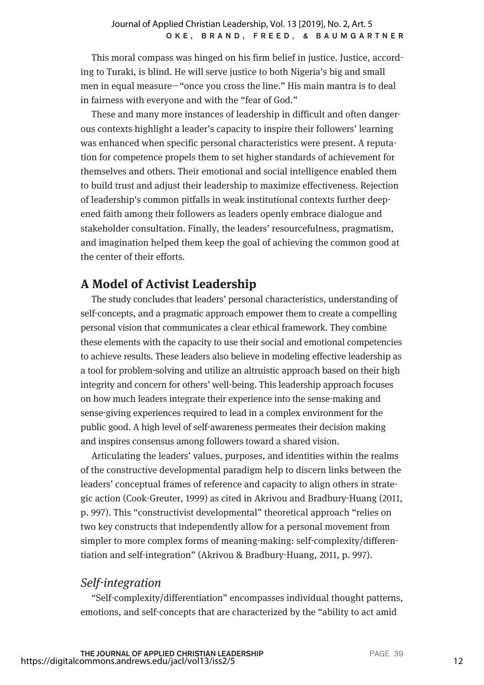This moral compass was hinged on his firm belief in justice. Justice, according to Turaki, is blind. He will serve justice to both Nigeria's big and small men in equal measure—"once you cross the line." His main mantra is to deal in fairness with everyone and with the "fear of God."

These and many more instances of leadership in difficult and often dangerous contexts highlight a leader's capacity to inspire their followers' learning was enhanced when specific personal characteristics were present. A reputation for competence propels them to set higher standards of achievement for themselves and others. Their emotional and social intelligence enabled them to build trust and adjust their leadership to maximize effectiveness. Rejection of leadership's common pitfalls in weak institutional contexts further deepened faith among their followers as leaders openly embrace dialogue and stakeholder consultation. Finally, the leaders' resourcefulness, pragmatism, and imagination helped them keep the goal of achieving the common good at the center of their efforts.

## **A Model of Activist Leadership**

The study concludes that leaders' personal characteristics, understanding of self-concepts, and a pragmatic approach empower them to create a compelling personal vision that communicates a clear ethical framework. They combine these elements with the capacity to use their social and emotional competencies to achieve results. These leaders also believe in modeling effective leadership as a tool for problem-solving and utilize an altruistic approach based on their high integrity and concern for others' well-being. This leadership approach focuses on how much leaders integrate their experience into the sense-making and sense-giving experiences required to lead in a complex environment for the public good. A high level of self-awareness permeates their decision making and inspires consensus among followers toward a shared vision.

Articulating the leaders' values, purposes, and identities within the realms of the constructive developmental paradigm help to discern links between the leaders' conceptual frames of reference and capacity to align others in strategic action (Cook-Greuter, 1999) as cited in Akrivou and Bradbury-Huang (2011, p. 997). This "constructivist developmental" theoretical approach "relies on two key constructs that independently allow for a personal movement from simpler to more complex forms of meaning-making: self-complexity/differentiation and self-integration" (Akrivou & Bradbury-Huang, 2011, p. 997).

## *Self-integration*

"Self-complexity/differentiation" encompasses individual thought patterns, emotions, and self-concepts that are characterized by the "ability to act amid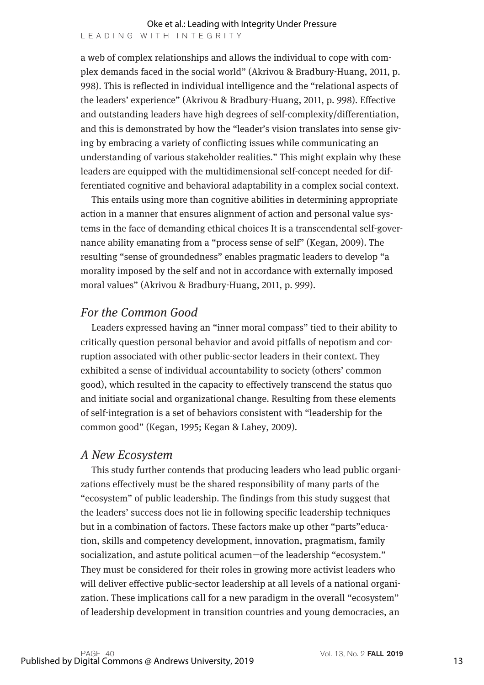a web of complex relationships and allows the individual to cope with complex demands faced in the social world" (Akrivou & Bradbury-Huang, 2011, p. 998). This is reflected in individual intelligence and the "relational aspects of the leaders' experience" (Akrivou & Bradbury-Huang, 2011, p. 998). Effective and outstanding leaders have high degrees of self-complexity/differentiation, and this is demonstrated by how the "leader's vision translates into sense giving by embracing a variety of conflicting issues while communicating an understanding of various stakeholder realities." This might explain why these leaders are equipped with the multidimensional self-concept needed for differentiated cognitive and behavioral adaptability in a complex social context.

This entails using more than cognitive abilities in determining appropriate action in a manner that ensures alignment of action and personal value systems in the face of demanding ethical choices It is a transcendental self-governance ability emanating from a "process sense of self" (Kegan, 2009). The resulting "sense of groundedness" enables pragmatic leaders to develop "a morality imposed by the self and not in accordance with externally imposed moral values" (Akrivou & Bradbury-Huang, 2011, p. 999).

## *For the Common Good*

Leaders expressed having an "inner moral compass" tied to their ability to critically question personal behavior and avoid pitfalls of nepotism and corruption associated with other public-sector leaders in their context. They exhibited a sense of individual accountability to society (others' common good), which resulted in the capacity to effectively transcend the status quo and initiate social and organizational change. Resulting from these elements of self-integration is a set of behaviors consistent with "leadership for the common good" (Kegan, 1995; Kegan & Lahey, 2009).

#### *A New Ecosystem*

This study further contends that producing leaders who lead public organizations effectively must be the shared responsibility of many parts of the "ecosystem" of public leadership. The findings from this study suggest that the leaders' success does not lie in following specific leadership techniques but in a combination of factors. These factors make up other "parts"education, skills and competency development, innovation, pragmatism, family socialization, and astute political acumen—of the leadership "ecosystem." They must be considered for their roles in growing more activist leaders who will deliver effective public-sector leadership at all levels of a national organization. These implications call for a new paradigm in the overall "ecosystem" of leadership development in transition countries and young democracies, an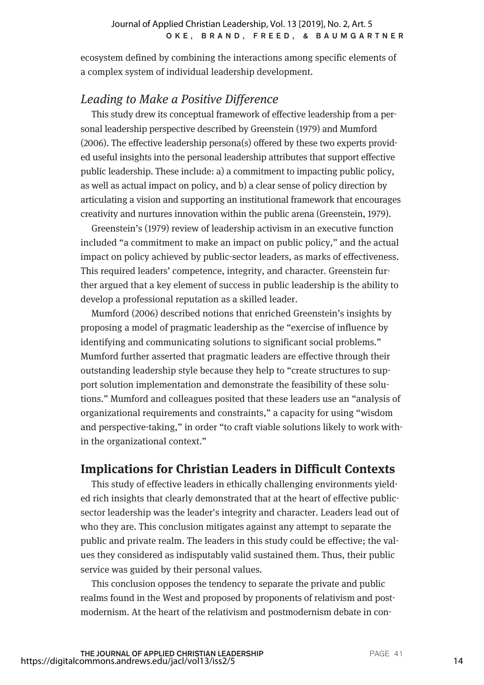ecosystem defined by combining the interactions among specific elements of a complex system of individual leadership development.

## *Leading to Make a Positive Difference*

This study drew its conceptual framework of effective leadership from a personal leadership perspective described by Greenstein (1979) and Mumford (2006). The effective leadership persona(s) offered by these two experts provided useful insights into the personal leadership attributes that support effective public leadership. These include: a) a commitment to impacting public policy, as well as actual impact on policy, and b) a clear sense of policy direction by articulating a vision and supporting an institutional framework that encourages creativity and nurtures innovation within the public arena (Greenstein, 1979).

Greenstein's (1979) review of leadership activism in an executive function included "a commitment to make an impact on public policy," and the actual impact on policy achieved by public-sector leaders, as marks of effectiveness. This required leaders' competence, integrity, and character. Greenstein further argued that a key element of success in public leadership is the ability to develop a professional reputation as a skilled leader.

Mumford (2006) described notions that enriched Greenstein's insights by proposing a model of pragmatic leadership as the "exercise of influence by identifying and communicating solutions to significant social problems." Mumford further asserted that pragmatic leaders are effective through their outstanding leadership style because they help to "create structures to support solution implementation and demonstrate the feasibility of these solutions." Mumford and colleagues posited that these leaders use an "analysis of organizational requirements and constraints," a capacity for using "wisdom and perspective-taking," in order "to craft viable solutions likely to work within the organizational context."

# **Implications for Christian Leaders in Difficult Contexts**

This study of effective leaders in ethically challenging environments yielded rich insights that clearly demonstrated that at the heart of effective publicsector leadership was the leader's integrity and character. Leaders lead out of who they are. This conclusion mitigates against any attempt to separate the public and private realm. The leaders in this study could be effective; the values they considered as indisputably valid sustained them. Thus, their public service was guided by their personal values.

This conclusion opposes the tendency to separate the private and public realms found in the West and proposed by proponents of relativism and postmodernism. At the heart of the relativism and postmodernism debate in con-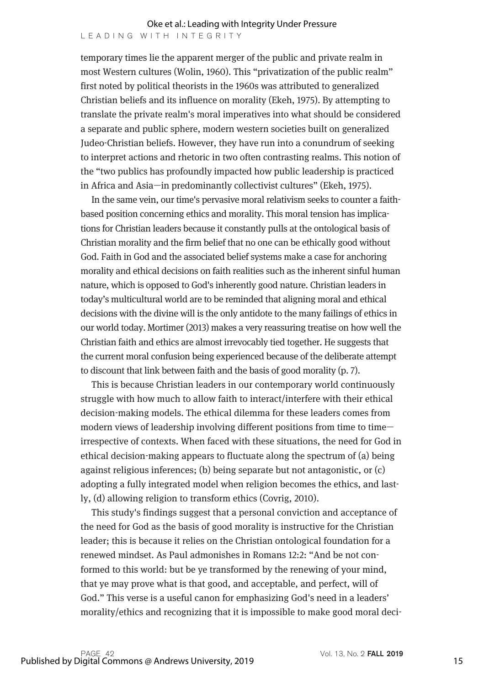temporary times lie the apparent merger of the public and private realm in most Western cultures (Wolin, 1960). This "privatization of the public realm" first noted by political theorists in the 1960s was attributed to generalized Christian beliefs and its influence on morality (Ekeh, 1975). By attempting to translate the private realm's moral imperatives into what should be considered a separate and public sphere, modern western societies built on generalized Judeo-Christian beliefs. However, they have run into a conundrum of seeking to interpret actions and rhetoric in two often contrasting realms. This notion of the "two publics has profoundly impacted how public leadership is practiced in Africa and Asia—in predominantly collectivist cultures" (Ekeh, 1975).

In the same vein, our time's pervasive moral relativism seeks to counter a faithbased position concerning ethics and morality. This moral tension has implications for Christian leaders because it constantly pulls at the ontological basis of Christian morality and the firm belief that no one can be ethically good without God. Faith in God and the associated belief systems make a case for anchoring morality and ethical decisions on faith realities such as the inherent sinful human nature, which is opposed to God's inherently good nature. Christian leaders in today's multicultural world are to be reminded that aligning moral and ethical decisions with the divine will is the only antidote to the many failings of ethics in our world today. Mortimer (2013) makes a very reassuring treatise on how well the Christian faith and ethics are almost irrevocably tied together. He suggests that the current moral confusion being experienced because of the deliberate attempt to discount that link between faith and the basis of good morality (p. 7).

This is because Christian leaders in our contemporary world continuously struggle with how much to allow faith to interact/interfere with their ethical decision-making models. The ethical dilemma for these leaders comes from modern views of leadership involving different positions from time to time irrespective of contexts. When faced with these situations, the need for God in ethical decision-making appears to fluctuate along the spectrum of (a) being against religious inferences; (b) being separate but not antagonistic, or (c) adopting a fully integrated model when religion becomes the ethics, and lastly, (d) allowing religion to transform ethics (Covrig, 2010).

This study's findings suggest that a personal conviction and acceptance of the need for God as the basis of good morality is instructive for the Christian leader; this is because it relies on the Christian ontological foundation for a renewed mindset. As Paul admonishes in Romans 12:2: "And be not conformed to this world: but be ye transformed by the renewing of your mind, that ye may prove what is that good, and acceptable, and perfect, will of God." This verse is a useful canon for emphasizing God's need in a leaders' morality/ethics and recognizing that it is impossible to make good moral deci-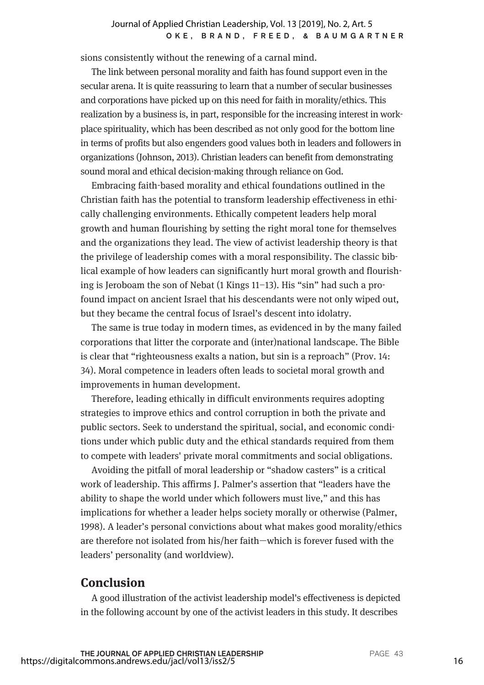#### OKE, BRAND, FREED, & BAUMGARTNER Journal of Applied Christian Leadership, Vol. 13 [2019], No. 2, Art. 5

sions consistently without the renewing of a carnal mind.

The link between personal morality and faith has found support even in the secular arena. It is quite reassuring to learn that a number of secular businesses and corporations have picked up on this need for faith in morality/ethics. This realization by a business is, in part, responsible for the increasing interest in workplace spirituality, which has been described as not only good for the bottom line in terms of profits but also engenders good values both in leaders and followers in organizations (Johnson, 2013). Christian leaders can benefit from demonstrating sound moral and ethical decision-making through reliance on God.

Embracing faith-based morality and ethical foundations outlined in the Christian faith has the potential to transform leadership effectiveness in ethically challenging environments. Ethically competent leaders help moral growth and human flourishing by setting the right moral tone for themselves and the organizations they lead. The view of activist leadership theory is that the privilege of leadership comes with a moral responsibility. The classic biblical example of how leaders can significantly hurt moral growth and flourishing is Jeroboam the son of Nebat (1 Kings 11–13). His "sin" had such a profound impact on ancient Israel that his descendants were not only wiped out, but they became the central focus of Israel's descent into idolatry.

The same is true today in modern times, as evidenced in by the many failed corporations that litter the corporate and (inter)national landscape. The Bible is clear that "righteousness exalts a nation, but sin is a reproach" (Prov. 14: 34). Moral competence in leaders often leads to societal moral growth and improvements in human development.

Therefore, leading ethically in difficult environments requires adopting strategies to improve ethics and control corruption in both the private and public sectors. Seek to understand the spiritual, social, and economic conditions under which public duty and the ethical standards required from them to compete with leaders' private moral commitments and social obligations.

Avoiding the pitfall of moral leadership or "shadow casters" is a critical work of leadership. This affirms J. Palmer's assertion that "leaders have the ability to shape the world under which followers must live," and this has implications for whether a leader helps society morally or otherwise (Palmer, 1998). A leader's personal convictions about what makes good morality/ethics are therefore not isolated from his/her faith—which is forever fused with the leaders' personality (and worldview).

## **Conclusion**

A good illustration of the activist leadership model's effectiveness is depicted in the following account by one of the activist leaders in this study. It describes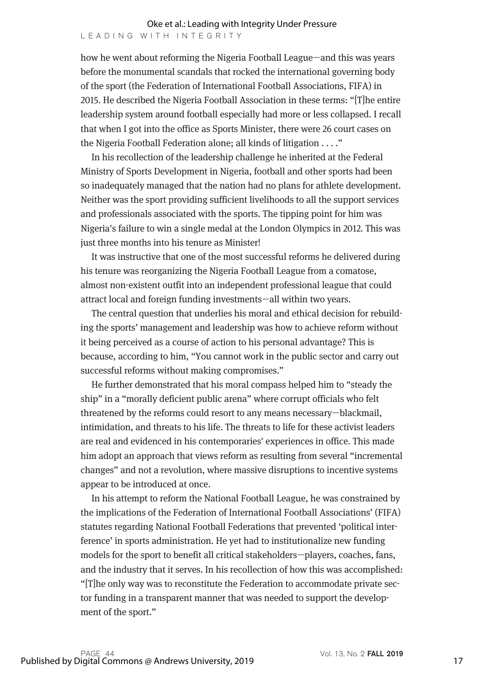how he went about reforming the Nigeria Football League—and this was years before the monumental scandals that rocked the international governing body of the sport (the Federation of International Football Associations, FIFA) in 2015. He described the Nigeria Football Association in these terms: "[T]he entire leadership system around football especially had more or less collapsed. I recall that when I got into the office as Sports Minister, there were 26 court cases on the Nigeria Football Federation alone; all kinds of litigation . . . ."

In his recollection of the leadership challenge he inherited at the Federal Ministry of Sports Development in Nigeria, football and other sports had been so inadequately managed that the nation had no plans for athlete development. Neither was the sport providing sufficient livelihoods to all the support services and professionals associated with the sports. The tipping point for him was Nigeria's failure to win a single medal at the London Olympics in 2012. This was just three months into his tenure as Minister!

It was instructive that one of the most successful reforms he delivered during his tenure was reorganizing the Nigeria Football League from a comatose, almost non-existent outfit into an independent professional league that could attract local and foreign funding investments—all within two years.

The central question that underlies his moral and ethical decision for rebuilding the sports' management and leadership was how to achieve reform without it being perceived as a course of action to his personal advantage? This is because, according to him, "You cannot work in the public sector and carry out successful reforms without making compromises."

He further demonstrated that his moral compass helped him to "steady the ship" in a "morally deficient public arena" where corrupt officials who felt threatened by the reforms could resort to any means necessary—blackmail, intimidation, and threats to his life. The threats to life for these activist leaders are real and evidenced in his contemporaries' experiences in office. This made him adopt an approach that views reform as resulting from several "incremental changes" and not a revolution, where massive disruptions to incentive systems appear to be introduced at once.

In his attempt to reform the National Football League, he was constrained by the implications of the Federation of International Football Associations' (FIFA) statutes regarding National Football Federations that prevented 'political interference' in sports administration. He yet had to institutionalize new funding models for the sport to benefit all critical stakeholders—players, coaches, fans, and the industry that it serves. In his recollection of how this was accomplished: "[T]he only way was to reconstitute the Federation to accommodate private sector funding in a transparent manner that was needed to support the development of the sport."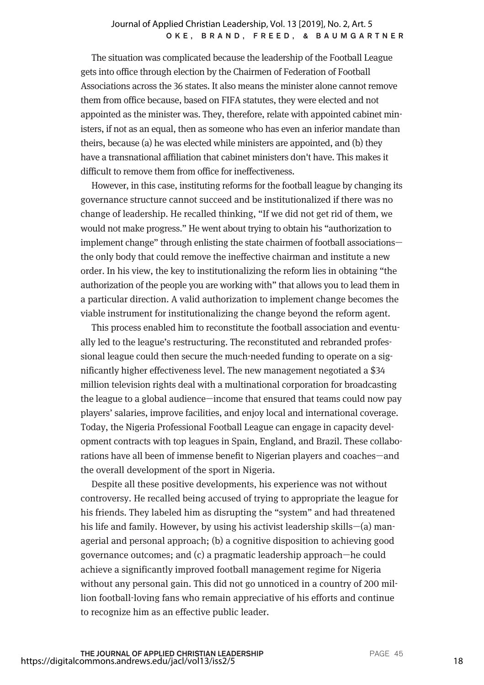#### OKE, BRAND, FREED, & BAUMGARTNER Journal of Applied Christian Leadership, Vol. 13 [2019], No. 2, Art. 5

The situation was complicated because the leadership of the Football League gets into office through election by the Chairmen of Federation of Football Associations across the 36 states. It also means the minister alone cannot remove them from office because, based on FIFA statutes, they were elected and not appointed as the minister was. They, therefore, relate with appointed cabinet ministers, if not as an equal, then as someone who has even an inferior mandate than theirs, because (a) he was elected while ministers are appointed, and (b) they have a transnational affiliation that cabinet ministers don't have. This makes it difficult to remove them from office for ineffectiveness.

However, in this case, instituting reforms for the football league by changing its governance structure cannot succeed and be institutionalized if there was no change of leadership. He recalled thinking, "If we did not get rid of them, we would not make progress." He went about trying to obtain his "authorization to implement change" through enlisting the state chairmen of football associations the only body that could remove the ineffective chairman and institute a new order. In his view, the key to institutionalizing the reform lies in obtaining "the authorization of the people you are working with" that allows you to lead them in a particular direction. A valid authorization to implement change becomes the viable instrument for institutionalizing the change beyond the reform agent.

This process enabled him to reconstitute the football association and eventually led to the league's restructuring. The reconstituted and rebranded professional league could then secure the much-needed funding to operate on a significantly higher effectiveness level. The new management negotiated a \$34 million television rights deal with a multinational corporation for broadcasting the league to a global audience—income that ensured that teams could now pay players' salaries, improve facilities, and enjoy local and international coverage. Today, the Nigeria Professional Football League can engage in capacity development contracts with top leagues in Spain, England, and Brazil. These collaborations have all been of immense benefit to Nigerian players and coaches—and the overall development of the sport in Nigeria.

Despite all these positive developments, his experience was not without controversy. He recalled being accused of trying to appropriate the league for his friends. They labeled him as disrupting the "system" and had threatened his life and family. However, by using his activist leadership skills—(a) managerial and personal approach; (b) a cognitive disposition to achieving good governance outcomes; and (c) a pragmatic leadership approach—he could achieve a significantly improved football management regime for Nigeria without any personal gain. This did not go unnoticed in a country of 200 million football-loving fans who remain appreciative of his efforts and continue to recognize him as an effective public leader.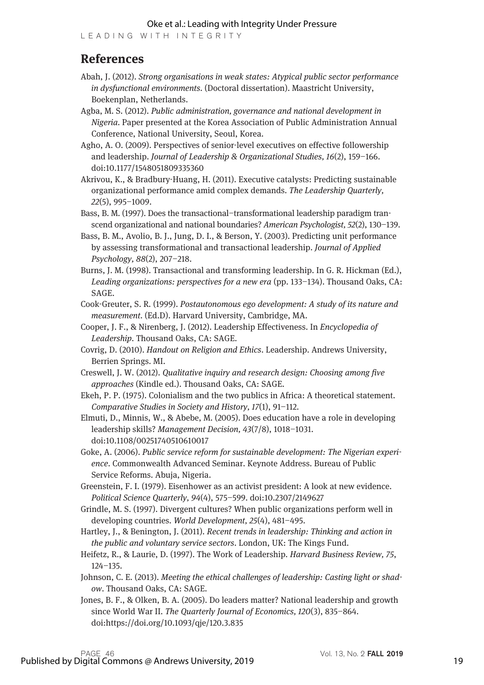#### Oke et al.: Leading with Integrity Under Pressure

LEADING WITH INTEGRITY

## **References**

- Abah, J. (2012). *Strong organisations in weak states: Atypical public sector performance in dysfunctional environments.* (Doctoral dissertation). Maastricht University, Boekenplan, Netherlands.
- Agba, M. S. (2012). *Public administration, governance and national development in Nigeria.* Paper presented at the Korea Association of Public Administration Annual Conference, National University, Seoul, Korea.
- Agho, A. O. (2009). Perspectives of senior-level executives on effective followership and leadership. *Journal of Leadership & Organizational Studies, 16*(2), 159–166. doi:10.1177/1548051809335360
- Akrivou, K., & Bradbury-Huang, H. (2011). Executive catalysts: Predicting sustainable organizational performance amid complex demands. *The Leadership Quarterly, 22*(5), 995–1009.
- Bass, B. M. (1997). Does the transactional–transformational leadership paradigm transcend organizational and national boundaries? *American Psychologist, 52*(2), 130–139.
- Bass, B. M., Avolio, B. J., Jung, D. I., & Berson, Y. (2003). Predicting unit performance by assessing transformational and transactional leadership. *Journal of Applied Psychology, 88*(2), 207–218.
- Burns, J. M. (1998). Transactional and transforming leadership. In G. R. Hickman (Ed.), *Leading organizations: perspectives for a new era* (pp. 133–134). Thousand Oaks, CA: SAGE.
- Cook-Greuter, S. R. (1999). *Postautonomous ego development: A study of its nature and measurement.* (Ed.D). Harvard University, Cambridge, MA.
- Cooper, J. F., & Nirenberg, J. (2012). Leadership Effectiveness. In *Encyclopedia of Leadership*. Thousand Oaks, CA: SAGE.
- Covrig, D. (2010). *Handout on Religion and Ethics*. Leadership. Andrews University, Berrien Springs. MI.
- Creswell, J. W. (2012). *Qualitative inquiry and research design: Choosing among five approaches* (Kindle ed.). Thousand Oaks, CA: SAGE.
- Ekeh, P. P. (1975). Colonialism and the two publics in Africa: A theoretical statement. *Comparative Studies in Society and History, 17*(1), 91–112.
- Elmuti, D., Minnis, W., & Abebe, M. (2005). Does education have a role in developing leadership skills? *Management Decision, 43*(7/8), 1018–1031. doi:10.1108/00251740510610017

Goke, A. (2006). *Public service reform for sustainable development: The Nigerian experience*. Commonwealth Advanced Seminar. Keynote Address. Bureau of Public Service Reforms. Abuja, Nigeria.

- Greenstein, F. I. (1979). Eisenhower as an activist president: A look at new evidence. *Political Science Quarterly, 94*(4), 575–599. doi:10.2307/2149627
- Grindle, M. S. (1997). Divergent cultures? When public organizations perform well in developing countries. *World Development, 25*(4), 481–495.

Hartley, J., & Benington, J. (2011). *Recent trends in leadership: Thinking and action in the public and voluntary service sectors*. London, UK: The Kings Fund.

- Heifetz, R., & Laurie, D. (1997). The Work of Leadership. *Harvard Business Review, 75*, 124–135.
- Johnson, C. E. (2013). *Meeting the ethical challenges of leadership: Casting light or shadow*. Thousand Oaks, CA: SAGE.
- Jones, B. F., & Olken, B. A. (2005). Do leaders matter? National leadership and growth since World War II. *The Quarterly Journal of Economics, 120*(3), 835–864. doi:https://doi.org/10.1093/qje/120.3.835